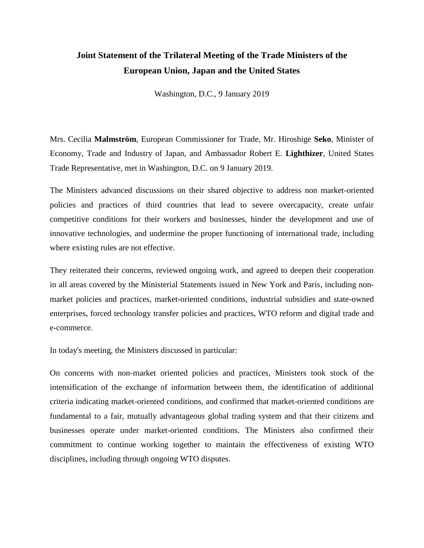## **Joint Statement of the Trilateral Meeting of the Trade Ministers of the European Union, Japan and the United States**

Washington, D.C., 9 January 2019

Mrs. Cecilia **Malmström**, European Commissioner for Trade, Mr. Hiroshige **Seko**, Minister of Economy, Trade and Industry of Japan, and Ambassador Robert E. **Lighthizer**, United States Trade Representative, met in Washington, D.C. on 9 January 2019.

The Ministers advanced discussions on their shared objective to address non market-oriented policies and practices of third countries that lead to severe overcapacity, create unfair competitive conditions for their workers and businesses, hinder the development and use of innovative technologies, and undermine the proper functioning of international trade, including where existing rules are not effective.

They reiterated their concerns, reviewed ongoing work, and agreed to deepen their cooperation in all areas covered by the Ministerial Statements issued in New York and Paris, including nonmarket policies and practices, market-oriented conditions, industrial subsidies and state-owned enterprises, forced technology transfer policies and practices, WTO reform and digital trade and e-commerce.

In today's meeting, the Ministers discussed in particular:

On concerns with non-market oriented policies and practices, Ministers took stock of the intensification of the exchange of information between them, the identification of additional criteria indicating market-oriented conditions, and confirmed that market-oriented conditions are fundamental to a fair, mutually advantageous global trading system and that their citizens and businesses operate under market-oriented conditions. The Ministers also confirmed their commitment to continue working together to maintain the effectiveness of existing WTO disciplines, including through ongoing WTO disputes.